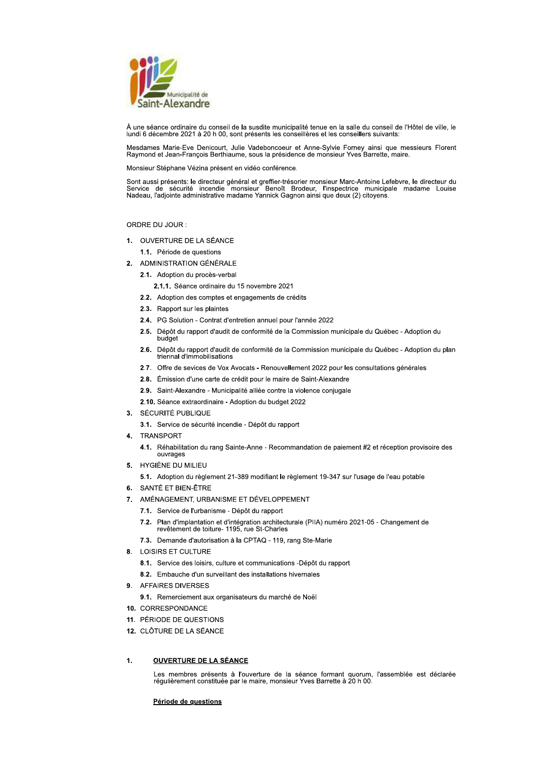

À une séance ordinaire du conseil de la susdite municipalité tenue en la salle du conseil de l'Hôtel de ville, le lundi 6 décembre 2021 à 20 h 00, sont présents les conseillères et les conseillers suivants:

Mesdames Marie-Eve Denicourt, Julie Vadeboncoeur et Anne-Sylvie Forney ainsi que messieurs Florent Raymond et Jean-François Berthiaume, sous la présidence de monsieur Yves Barrette, maire.

Monsieur Stéphane Vézina présent en vidéo conférence.

Sont aussi présents: le directeur général et greffier-trésorier monsieur Marc-Antoine Lefebvre, le directeur du<br>Service de sécurité incendie monsieur Benoît Brodeur, l'inspectrice municipale madame Louise<br>Nadeau, l'adjoint

# ORDRE DU JOUR:

1. OUVERTURE DE LA SÉANCE

1.1. Période de questions

- 2. ADMINISTRATION GÉNÉRALE
	- 2.1. Adoption du procès-verbal
		- 2.1.1. Séance ordinaire du 15 novembre 2021
	- 2.2. Adoption des comptes et engagements de crédits
	- 2.3. Rapport sur les plaintes
	- 2.4. PG Solution Contrat d'entretien annuel pour l'année 2022
	- 2.5. Dépôt du rapport d'audit de conformité de la Commission municipale du Québec Adoption du budget
	- 2.6. Dépôt du rapport d'audit de conformité de la Commission municipale du Québec Adoption du plan triennal d'immobilisations
	- 2.7. Offre de sevices de Vox Avocats Renouvellement 2022 pour les consultations générales
	- 2.8. Émission d'une carte de crédit pour le maire de Saint-Alexandre
	- 2.9. Saint-Alexandre Municipalité alliée contre la violence conjugale

2.10. Séance extraordinaire - Adoption du budget 2022

- 3. SÉCURITÉ PUBLIQUE
	- 3.1. Service de sécurité incendie Dépôt du rapport
- **TRANSPORT**  $\mathbf{4}$ 
	- 4.1. Réhabilitation du rang Sainte-Anne - Recommandation de paiement #2 et réception provisoire des ouvrages
- 5. HYGIÈNE DU MILIEU
	- 5.1. Adoption du règlement 21-389 modifiant le règlement 19-347 sur l'usage de l'eau potable
- 6. SANTÉ ET BIEN-ÊTRE
- 7. AMÉNAGEMENT, URBANISME ET DÉVELOPPEMENT
	- 7.1. Service de l'urbanisme Dépôt du rapport
	- 7.2. Plan d'implantation et d'intégration architecturale (PIIA) numéro 2021-05 Changement de revêtement de toiture- 1195, rue St-Charles
	- 7.3. Demande d'autorisation à la CPTAQ 119, rang Ste-Marie
- 8. LOISIRS ET CULTURE
	- 8.1. Service des loisirs, culture et communications -Dépôt du rapport
	- 8.2. Embauche d'un surveillant des installations hivernales
- 9. AFFAIRES DIVERSES
	- 9.1. Remerciement aux organisateurs du marché de Noël
- 10 CORRESPONDANCE
- 11. PÉRIODE DE QUESTIONS
- 12. CLÔTURE DE LA SÉANCE

### $\overline{1}$ **OUVERTURE DE LA SÉANCE**

Les membres présents à l'ouverture de la séance formant quorum. l'assemblée est déclarée<br>régulièrement constituée par le maire, monsieur Yves Barrette à 20 h 00.

Période de questions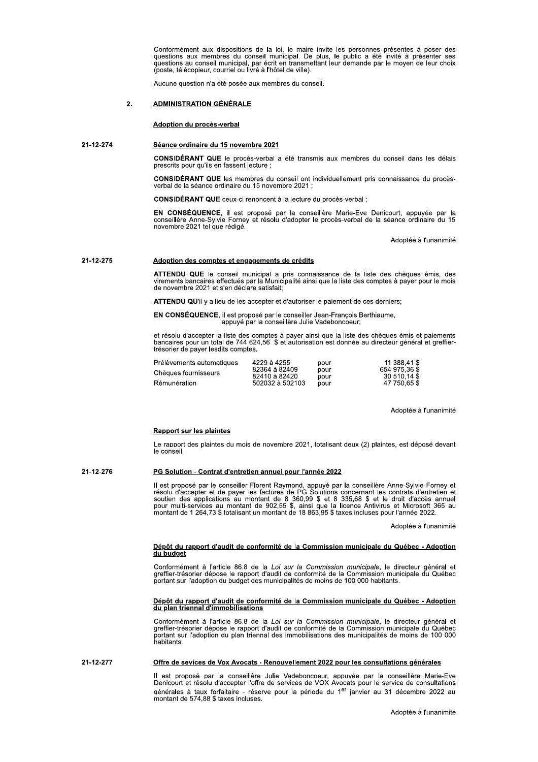Conformement aux dispositions de la loi, le maire invite les personnes presentes a poser des<br>questions aux membres du conseil municipal. De plus, le public a été invité à présenter ses<br>questions au conseil municipal, par é Conformément aux dispositions de la loi, le<br>
questions aux membres du conseil municip<br>
questions au conseil municipal, par écrit en t<br>
(poste, télécopieur, courriel ou livré à l'hôtel de<br>
Aucune question n'a été posée aux

(poste, telecopieur, courriel ou livre a rhotel de ville).<br>Aucune question n'a été posée aux membres du conseil.

# 21-12-274 Séance ordinaire du 15 novembre 2021

**CONSIDERANT QUE** le proces-verbal a ete transmis aux membres du conseil dans les delais<br>prescrits pour qu'ils en fassent lecture ; rassent

sell ont individuellement pris connaissance du procesverbal de la seance ordinaire du 15 no

oncent a la lecture du proces-verbal

Adoption du procès-verbal<br>
2-274<br>
Séance ordinaire du 15 novembre 2021<br>
CONSIDÉRANT QUE le procès-verbal a ét<br>
prescrits pour qu'ils en fassent lecture ;<br>
CONSIDÉRANT QUE les membres du cons<br>
verbal de la séance ordinaire Séance ordinaire du 15 novembre 2021<br>
CONSIDÉRANT QUE le procès-verbal a été transm<br>
prescrits pour qu'ils en fassent lecture ;<br>
CONSIDÉRANT QUE les membres du conseil ont in<br>
verbal de la séance ordinaire du 15 novembre 2 CONSIDÉRANT QUE le procès-verbal a été transmis aux membres<br>prescrits pour qu'ils en fassent lecture ;<br>CONSIDÉRANT QUE les membres du conseil ont individuellement pri<br>verbal de la séance ordinaire du 15 novembre 2021 ;<br>CON EN CONSEQUENCE, il est propose par la conselliere Marie-Eve Denicourt, appuyee par la<br>conseillère Anne-Sylvie Forney et résolu d'adopter le procès-verbal de la séance ordinaire du 15<br>novembre 2021 tel que rédigé.<br>Adoptée à EN CONSÉQUENCE, il es<br>
conseillère Anne-Sylvie For<br>
novembre 2021 tel que rédig<br>
novembre 2021 tel que rédig<br>
xirements bancaires effectué<br>
de novembre 2021 et s'en de<br>
ATTENDU QU'il y a lieu de l<br>
EN CONSÉQUENCE, il est <sub></sub>

anımıte

## 21-12-275 Adoption des comptes et engagements de crédits

ATTENDU QUE le conseil municipal a pris connaissance de la liste des cheques emis, des<br>virements bancaires effectués par la Municipalité ainsi que la liste des comptes à payer pour le mois<br>de novembre 2021 et s'en déclare

275<br> **Adoption des comptes et engagements de Virements bancaires effectués par la Municipal<br>
de novembre 2021 et s'en déclare satisfait;<br>
ATTENDU QU'il y a lieu de les accepter et d'<br>
EN CONSÉQUENCE, il est proposé par le** et resolu d'accepter la liste des comptes a payer ainsi que la liste des cheques emis et palements<br>bancaires pour un total de 744 624,56 \$ et autorisation est donnée au directeur général et greffier-<br>trésorier de payer les trésorier de payer lesdits comptes.

| Adoption des comptes et engagements de crédits                                                                                                                                                                              |                                                                  |                              |                                                               |
|-----------------------------------------------------------------------------------------------------------------------------------------------------------------------------------------------------------------------------|------------------------------------------------------------------|------------------------------|---------------------------------------------------------------|
| ATTENDU QUE le conseil municipal a pris connaissance de la liste des chèques<br>virements bancaires effectués par la Municipalité ainsi que la liste des comptes à payer p<br>de novembre 2021 et s'en déclare satisfait:   |                                                                  |                              |                                                               |
| <b>ATTENDU QU'il</b> y a lieu de les accepter et d'autoriser le paiement de ces derniers;                                                                                                                                   |                                                                  |                              |                                                               |
| EN CONSÉQUENCE, il est proposé par le conseiller Jean-François Berthiaume,<br>appuyé par la conseillère Julie Vadeboncoeur;                                                                                                 |                                                                  |                              |                                                               |
| et résolu d'accepter la liste des comptes à payer ainsi que la liste des chèques émis et<br>bancaires pour un total de 744 624,56 \$ et autorisation est donnée au directeur général<br>trésorier de payer lesdits comptes. |                                                                  |                              |                                                               |
| Prélèvements automatiques<br>Chèques fournisseurs<br>Rémunération                                                                                                                                                           | 4229 à 4255<br>82364 à 82409<br>82410 à 82420<br>502032 à 502103 | pour<br>pour<br>pour<br>pour | 11 388.41 \$<br>654 975 36 \$<br>30 510 14 \$<br>47 750 65 \$ |
|                                                                                                                                                                                                                             |                                                                  |                              |                                                               |

Adoptee a runanimite

<u>Rapport sur les plaintes</u><br>Le rapport des plaintes du mois de novembre 2021, totalisant deux (2) plaintes, est déposé devant<br>le conseil. le conseil.

21-12-276<br>Il est proposé par le conseiller Florent Raymond, appuyé par la conseillère Anne-Sylvie Forney et<br>résolu d'accepter et de payer les factures de PG Solutions concernant les contrats d'entretien et<br>soutien des appl

anır

Conformement a l'article 86.8 de la Loi sur la Commission municipale, le directeur general et **Depot du rapport d'audit de conformite de la Commission municipale du Quebec - Adoption**<br> **du budget**<br>
Conformément à l'article 86.8 de la Loi sur la Commission municipale, le directeur général et<br>
greffier-trésorier dépo

**Depot du rapport d'audit de conformité de la Commission municipale du Québéc - Adoption**<br> **du plan triennal d'immobilisations**<br>
Conformément à l'article 86.8 de la Loi sur la Commission municipale, le directeur général et pitants

Il est propose par la conseillere Julie Vadeboncoeur, appuvee par la conseillere Marie-Eve<br>Denicourt et résolu d'accepter l'offre de services de VOX Avocats pour le service de consultations qénérales à taux forfaitaire - réserve pour la période du 1<sup>er</sup> janvier au 31 décembre 2022 au montant de 574,88  $\frac{1}{2}$  taxes inc ciuses.<br>Adoptée à l'una Offre de sevices de Vox Avocats - Renouvellement 2022 pour les consultations generales<br>
Il est proposé par la conseillère Julie Vadeboncoeur, appuvée par la conseillère Marie-Eve<br>
Denicourt et résolu d'accepter l'offre de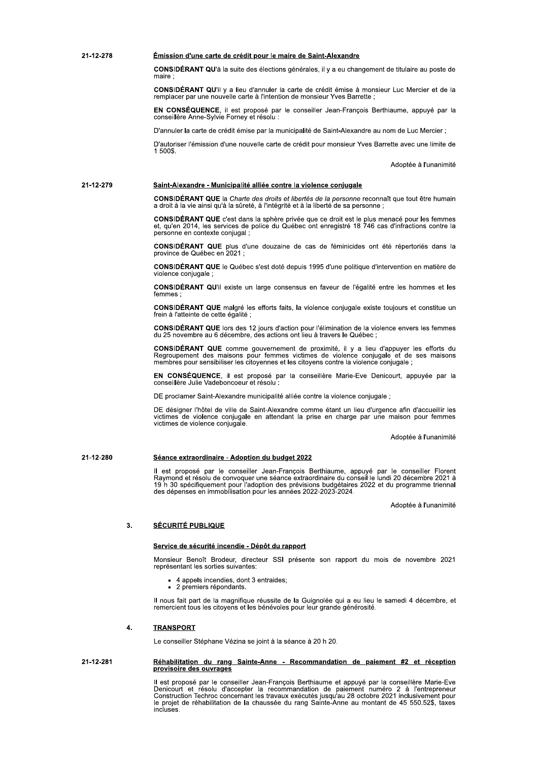### 21-12-278 Émission d'une carte de crédit pour le maire de Saint-Alexandre

CONSIDÉRANT QU'à la suite des élections générales, il y a eu changement de titulaire au poste de maire :

**CONSIDÉRANT QU'il y a lieu d'annuler la carte de crédit émise à monsieur Luc Mercier et de la** remplacer par une nouvelle carte à l'intention de monsieur Yves Barrette ;

EN CONSÉQUENCE, il est proposé par le conseiller Jean-François Berthiaume, appuyé par la conseillère Anne-Sylvie Forney et résolu :

D'annuler la carte de crédit émise par la municipalité de Saint-Alexandre au nom de Luc Mercier :

D'autoriser l'émission d'une nouvelle carte de crédit pour monsieur Yves Barrette avec une limite de 1.500\$

Adoptée à l'unanimité

#### 21-12-279 Saint-Alexandre - Municipalité alliée contre la violence conjugale

CONSIDÉRANT QUE la Charte des droits et libertés de la personne reconnaît que tout être humain a droit à la vie ainsi qu'à la sûreté, à l'intégrité et à la liberté de sa personne ;

CONSIDÉRANT QUE c'est dans la sphère privée que ce droit est le plus menacé pour les femmes et, qu'en 2014, les services de police du Québec ont enregistré 18 746 cas d'infractions contre la personne en contexte conjugal

CONSIDÉRANT QUE plus d'une douzaine de cas de féminicides ont été répertoriés dans la province de Québec en 2021

CONSIDÉRANT QUE le Québec s'est doté depuis 1995 d'une politique d'intervention en matière de violence conjugale

CONSIDÉRANT QU'il existe un large consensus en faveur de l'égalité entre les hommes et les

CONSIDÉRANT QUE malgré les efforts faits, la violence conjugale existe toujours et constitue un frein à l'atteinte de cette égalité ;

CONSIDÉRANT QUE lors des 12 jours d'action pour l'élimination de la violence envers les femmes du 25 novembre au 6 décembre, des actions ont lieu à travers le Québec

CONSIDÉRANT QUE comme gouvernement de proximité, il y a lieu d'appuyer les efforts du<br>Regroupement des maisons pour femmes victimes de violence conjugale et de ses maisons membres pour sensibiliser les citoyennes et les citoyens contre la violence conjugale;

EN CONSÉQUENCE, il est proposé par la conseillère Marie-Eve Denicourt, appuyée par la conseillère Julie Vadeboncoeur et résolu :

DE proclamer Saint-Alexandre municipalité alliée contre la violence conjugale ;

DE désigner l'hôtel de ville de Saint-Alexandre comme étant un lieu d'urgence afin d'accueillir les victimes de violence conjugale en attendant la prise en charge par une maison pour femmes victimes de violence conjugale.

Adoptée à l'unanimité

#### 21-12-280 Séance extraordinaire - Adoption du budget 2022

Il est proposé par le conseiller Jean-François Berthiaume, appuyé par le conseiller Florent<br>Raymond et résolu de convoquer une séance extraordinaire du conseil le lundi 20 décembre 2021 à<br>19 h 30 spécifiquement pour l'adop

Adoptée à l'unanimité

#### $3.$ **SÉCURITÉ PUBLIQUE**

## Service de sécurité incendie - Dépôt du rapport

Monsieur Benoît Brodeur, directeur SSI présente son rapport du mois de novembre 2021 représentant les sorties suivantes:

- 4 appels incendies. dont 3 entraides:
- 2 premiers répondants.

Il nous fait part de la magnifique réussite de la Guignolée qui a eu lieu le samedi 4 décembre, et remercient tous les citoyens et les bénévoles pour leur grande générosité.

### $\overline{4}$ **TRANSPORT**

Le conseiller Stéphane Vézina se joint à la séance à 20 h 20.

## 21-12-281 Réhabilitation du rang Sainte-Anne - Recommandation de paiement #2 et réception provisoire des ouvrages

Il est proposé par le conseiller Jean-François Berthiaume et appuyé par la conseillère Marie-Eve<br>Denicourt et résolu d'accepter la recommandation de paiement numéro 2 à l'entrepreneur<br>Construction Techroc concernant les tr le projet de réhabilitation de la chaussée du rang Sainte-Anne au montant de 45 550.52\$, taxes incluses.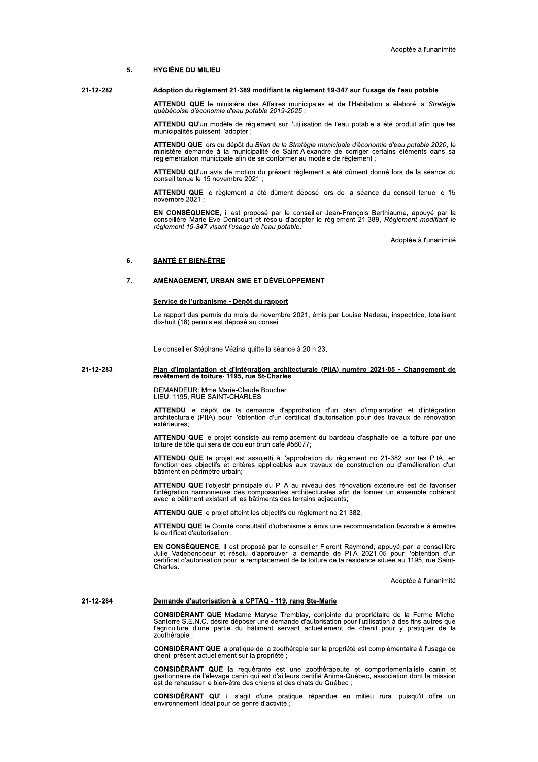#### $\mathbf{g}$ **HYGIÈNE DU MILIEU**

#### 21-12-282 Adoption du règlement 21-389 modifiant le règlement 19-347 sur l'usage de l'eau potable

ATTENDU QUE le ministère des Affaires municipales et de l'Habitation a élaboré la Stratégie québécoise d'économie d'eau potable 2019-2025 ;

ATTENDU QU'un modèle de règlement sur l'utilisation de l'eau potable a été produit afin que les municipalités puissent l'adopter

ATTENDU QUE lors du dépôt du Bilan de la Stratégie municipale d'économie d'eau potable 2020, le ministère demande à la municipalité de Saint-Alexandre de corriger certains éléments dans sa réglementation municipale afin de

ATTENDU QU'un avis de motion du présent règlement a été dûment donné lors de la séance du conseil tenue le 15 novembre 2021 ;

ATTENDU QUE le règlement a été dûment déposé lors de la séance du conseil tenue le 15 novembre 2021 :

EN CONSÉQUENCE, il est proposé par le conseiller Jean-François Berthiaume, appuyé par la conseillère Marie-Eve Denicourt et résolu d'adopter le règlement 21-389, Règlement modifiant le règlement 19-347 visant l'usage de l'

Adoptée à l'unanimité

#### 6. **SANTÉ ET BIEN-ÊTRE**

### $\overline{7}$ . AMÉNAGEMENT, URBANISME ET DÉVELOPPEMENT

## Service de l'urbanisme - Dépôt du rapport

Le rapport des permis du mois de novembre 2021, émis par Louise Nadeau, inspectrice, totalisant dix-huit (18) permis est déposé au conseil.

Le conseiller Stéphane Vézina quitte la séance à 20 h 23.

# Plan d'implantation et d'intégration architecturale (PIIA) numéro 2021-05 - Changement de revêtement de loiture-<br>revêtement de toiture- 1195, rue St-Charles 21-12-283

DEMANDEUR: Mme Marie-Claude Boucher<br>LIEU: 1195, RUE SAINT-CHARLES

ATTENDU le dépôt de la demande d'approbation d'un plan d'implantation et d'intégration architecturale (PIIA) pour l'obtention d'un certificat d'autorisation pour des travaux de rénovation extérieures:

ATTENDU QUE le projet consiste au remplacement du bardeau d'asphalte de la toiture par une toiture de tôle qui sera de couleur brun café #56077;

ATTENDU QUE le projet est assujetti à l'approbation du règlement no 21-382 sur les PIIA, en fonction des objectifs et critères applicables aux travaux de construction ou d'amélioration d'un bâtiment en périmètre urbain;

ATTENDU QUE l'objectif principale du PIIA au niveau des rénovation extérieure est de favoriser Tintégration harmonieuse des composantes architecturales afin de former un ensemble cohérent<br>avec le bâtiment existant et les bâtiments des terrains adjacents;

ATTENDU QUE le projet atteint les objectifs du règlement no 21-382,

ATTENDU QUE le Comité consultatif d'urbanisme a émis une recommandation favorable à émettre le certificat d'autorisation ;

EN CONSÉQUENCE, il est proposé par le conseiller Florent Raymond, appuyé par la conseillère Life Vadeboncoeur et résolu d'approuver la demande de PIIA 2021-05 pour l'obtention d'un<br>certificat d'autorisation pour le remplacement de la toiture de PIIA 2021-05 pour l'obtention d'un<br>certificat d'autorisation pour le Charles.

Adoptée à l'unanimité

#### 21-12-284 Demande d'autorisation à la CPTAQ - 119, rang Ste-Marie

CONSIDÉRANT QUE Madame Maryse Tremblay, conjointe du propriétaire de la Ferme Michel Santerre S.E.N.C. désire déposer une demande d'autorisation pour l'utilisation à des fins autres que l'agriculture d'une partie du bâtime zoothérapie;

CONSIDÉRANT QUE la pratique de la zoothérapie sur la propriété est complémentaire à l'usage de chenil présent actuellement sur la propriété ;

CONSIDÉRANT QUE la requérante est une zoothérapeute et comportementaliste canin et gestionnaire de l'élevage canin qui est d'ailleurs certifié Anima-Québec, association dont la mission est de rehausser le bien-être des chiens et des chats du Québec ;

CONSIDÉRANT QU' il s'agit d'une pratique répandue en milieu rural puisqu'il offre un environnement idéal pour ce genre d'activité ;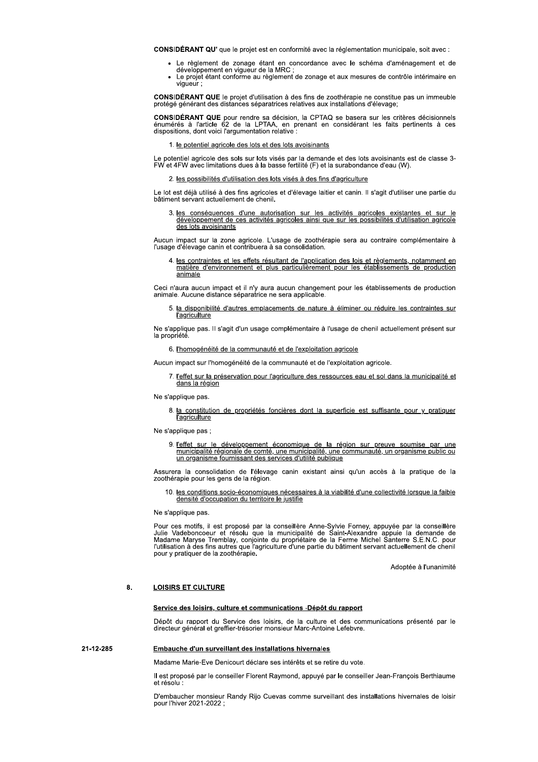CONSIDÉRANT QU' que le projet est en conformité avec la réglementation municipale, soit avec :

- Le règlement de zonage étant en concordance avec le schéma d'aménagement et de<br>développement en vigueur de la MRC ;<br>- Le projet étant conforme au règlement de zonage et aux mesures de contrôle intérimaire en
- vigueur :

**CONSIDÉRANT QUE** le projet d'utilisation à des fins de zoothérapie ne constitue pas un immeuble protégé générant des distances séparatrices relatives aux installations d'élevage;

CONSIDÉRANT QUE pour rendre sa décision, la CPTAQ se basera sur les critères décisionnels<br>énumérés à l'article 62 de la LPTAA, en prenant en considérant les faits pertinents à ces dispositions, dont voici l'argumentation relative :

## 1. le potentiel agricole des lots et des lots avoisinants

Le potentiel agricole des sols sur lots visés par la demande et des lots avoisinants est de classe 3-<br>FW et 4FW avec limitations dues à la basse fertilité (F) et la surabondance d'eau (W).

## 2. les possibilités d'utilisation des lots visés à des fins d'agriculture

Le lot est déjà utilisé à des fins agricoles et d'élevage laitier et canin. Il s'agit d'utiliser une partie du bâtiment servant actuellement de chenil.

3. les conséquences d'une autorisation sur les activités agricoles existantes et sur le développement de ces activités agricoles ainsi que sur les possibilités d'utilisation agricole des lots avoisinants

Aucun impact sur la zone agricole. L'usage de zoothérapie sera au contraire complémentaire à<br>l'usage d'élevage canin et contribuera à sa consolidation.

4. les contraintes et les effets résultant de l'application des lois et règlements, notamment en matière d'environnement et plus particulièrement pour les établissements de production animale

Ceci n'aura aucun impact et il n'y aura aucun changement pour les établissements de production animale. Aucune distance séparatrice ne sera applicable.

5. la disponibilité d'autres emplacements de nature à éliminer ou réduire les contraintes sur<br>l'agriculture

Ne s'applique pas. Il s'agit d'un usage complémentaire à l'usage de chenil actuellement présent sur la propriété.

- 6. l'homogénéité de la communauté et de l'exploitation agricole
- Aucun impact sur l'homogénéité de la communauté et de l'exploitation agricole.
	- 7. l'effet sur la préservation pour l'agriculture des ressources eau et sol dans la municipalité et dans la région

Ne s'applique pas.

8. la constitution de propriétés foncières dont la superficie est suffisante pour y pratiquer *l'agriculture* 

Ne s'applique pas ;

9. l'effet sur le développement économique de la région sur preuve soumise par une<br>municipalité régionale de comté, une municipalité, une communauté, un organisme public ou un organisme fournissant des services d'utilité publique

Assurera la consolidation de l'élevage canin existant ainsi qu'un accès à la pratique de la zoothérapie pour les gens de la région.

10. les conditions socio-économiques nécessaires à la viabilité d'une collectivité lorsque la faible densité d'occupation du territoire le justifie

Ne s'applique pas.

Pour ces motifs, il est proposé par la conseillère Anne-Sylvie Forney, appuyée par la conseillère<br>Julie Vadeboncoeur et résolu que la municipalité de Saint-Alexandre appuie la demande de<br>Madame Maryse Tremblay, conjointe d pour y pratiquer de la zoothérapie.

Adoptée à l'unanimité

#### $\mathbf{R}$ **LOISIRS ET CULTURE**

## Service des loisirs, culture et communications -Dépôt du rapport

Dépôt du rapport du Service des loisirs, de la culture et des communications présenté par le directeur général et greffier-trésorier monsieur Marc-Antoine Lefebvre.

### 21-12-285 Embauche d'un surveillant des installations hivernales

Madame Marie-Eve Denicourt déclare ses intérêts et se retire du vote.

Il est proposé par le conseiller Florent Raymond, appuyé par le conseiller Jean-François Berthiaume et résolu

D'embaucher monsieur Randy Rijo Cuevas comme surveillant des installations hivernales de loisir pour l'hiver 2021-2022 ;